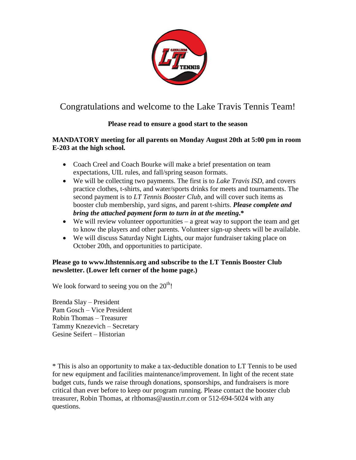

# Congratulations and welcome to the Lake Travis Tennis Team!

## **Please read to ensure a good start to the season**

**MANDATORY meeting for all parents on Monday August 20th at 5:00 pm in room E-203 at the high school.** 

- Coach Creel and Coach Bourke will make a brief presentation on team expectations, UIL rules, and fall/spring season formats.
- We will be collecting two payments. The first is to *Lake Travis ISD*, and covers practice clothes, t-shirts, and water/sports drinks for meets and tournaments. The second payment is to *LT Tennis Booster Club*, and will cover such items as booster club membership, yard signs, and parent t-shirts. *Please complete and bring the attached payment form to turn in at the meeting***.\***
- $\bullet$  We will review volunteer opportunities a great way to support the team and get to know the players and other parents. Volunteer sign-up sheets will be available.
- We will discuss Saturday Night Lights, our major fundraiser taking place on October 20th, and opportunities to participate.

## **Please go to www.lthstennis.org and subscribe to the LT Tennis Booster Club newsletter. (Lower left corner of the home page.)**

We look forward to seeing you on the  $20<sup>th</sup>$ !

Brenda Slay – President Pam Gosch – Vice President Robin Thomas – Treasurer Tammy Knezevich – Secretary Gesine Seifert – Historian

\* This is also an opportunity to make a tax-deductible donation to LT Tennis to be used for new equipment and facilities maintenance/improvement. In light of the recent state budget cuts, funds we raise through donations, sponsorships, and fundraisers is more critical than ever before to keep our program running. Please contact the booster club treasurer, Robin Thomas, at rlthomas@austin.rr.com or 512-694-5024 with any questions.